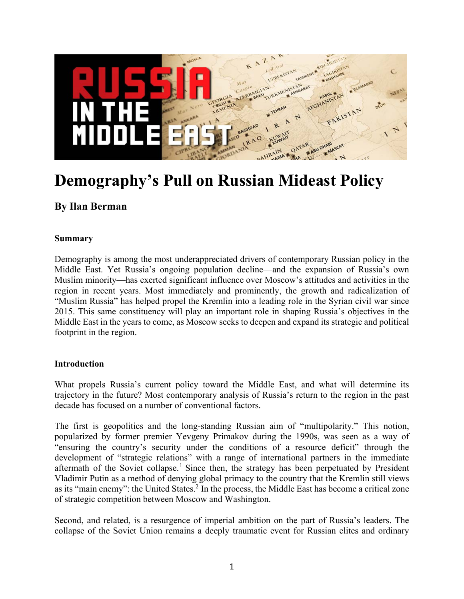

# **Demography's Pull on Russian Mideast Policy**

## **By Ilan Berman**

#### **Summary**

Demography is among the most underappreciated drivers of contemporary Russian policy in the Middle East. Yet Russia's ongoing population decline—and the expansion of Russia's own Muslim minority—has exerted significant influence over Moscow's attitudes and activities in the region in recent years. Most immediately and prominently, the growth and radicalization of "Muslim Russia" has helped propel the Kremlin into a leading role in the Syrian civil war since 2015. This same constituency will play an important role in shaping Russia's objectives in the Middle East in the years to come, as Moscow seeks to deepen and expand its strategic and political footprint in the region.

#### **Introduction**

What propels Russia's current policy toward the Middle East, and what will determine its trajectory in the future? Most contemporary analysis of Russia's return to the region in the past decade has focused on a number of conventional factors.

The first is geopolitics and the long-standing Russian aim of "multipolarity." This notion, popularized by former premier Yevgeny Primakov during the 1990s, was seen as a way of "ensuring the country's security under the conditions of a resource deficit" through the development of "strategic relations" with a range of international partners in the immediate aftermath of the Soviet collapse.<sup>1</sup> Since then, the strategy has been perpetuated by President Vladimir Putin as a method of denying global primacy to the country that the Kremlin still views as its "main enemy": the United States.<sup>2</sup> In the process, the Middle East has become a critical zone of strategic competition between Moscow and Washington.

Second, and related, is a resurgence of imperial ambition on the part of Russia's leaders. The collapse of the Soviet Union remains a deeply traumatic event for Russian elites and ordinary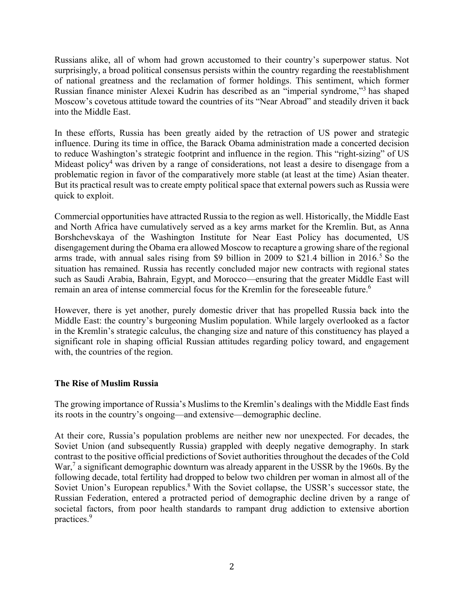Russians alike, all of whom had grown accustomed to their country's superpower status. Not surprisingly, a broad political consensus persists within the country regarding the reestablishment of national greatness and the reclamation of former holdings. This sentiment, which former Russian finance minister Alexei Kudrin has described as an "imperial syndrome,"<sup>3</sup> has shaped Moscow's covetous attitude toward the countries of its "Near Abroad" and steadily driven it back into the Middle East.

In these efforts, Russia has been greatly aided by the retraction of US power and strategic influence. During its time in office, the Barack Obama administration made a concerted decision to reduce Washington's strategic footprint and influence in the region. This "right-sizing" of US Mideast policy<sup>4</sup> was driven by a range of considerations, not least a desire to disengage from a problematic region in favor of the comparatively more stable (at least at the time) Asian theater. But its practical result was to create empty political space that external powers such as Russia were quick to exploit.

Commercial opportunities have attracted Russia to the region as well. Historically, the Middle East and North Africa have cumulatively served as a key arms market for the Kremlin. But, as Anna Borshchevskaya of the Washington Institute for Near East Policy has documented, US disengagement during the Obama era allowed Moscow to recapture a growing share of the regional arms trade, with annual sales rising from \$9 billion in 2009 to \$21.4 billion in 2016.<sup>5</sup> So the situation has remained. Russia has recently concluded major new contracts with regional states such as Saudi Arabia, Bahrain, Egypt, and Morocco—ensuring that the greater Middle East will remain an area of intense commercial focus for the Kremlin for the foreseeable future.<sup>6</sup>

However, there is yet another, purely domestic driver that has propelled Russia back into the Middle East: the country's burgeoning Muslim population. While largely overlooked as a factor in the Kremlin's strategic calculus, the changing size and nature of this constituency has played a significant role in shaping official Russian attitudes regarding policy toward, and engagement with, the countries of the region.

## **The Rise of Muslim Russia**

The growing importance of Russia's Muslims to the Kremlin's dealings with the Middle East finds its roots in the country's ongoing—and extensive—demographic decline.

At their core, Russia's population problems are neither new nor unexpected. For decades, the Soviet Union (and subsequently Russia) grappled with deeply negative demography. In stark contrast to the positive official predictions of Soviet authorities throughout the decades of the Cold War,<sup>7</sup> a significant demographic downturn was already apparent in the USSR by the 1960s. By the following decade, total fertility had dropped to below two children per woman in almost all of the Soviet Union's European republics.<sup>8</sup> With the Soviet collapse, the USSR's successor state, the Russian Federation, entered a protracted period of demographic decline driven by a range of societal factors, from poor health standards to rampant drug addiction to extensive abortion practices.<sup>9</sup>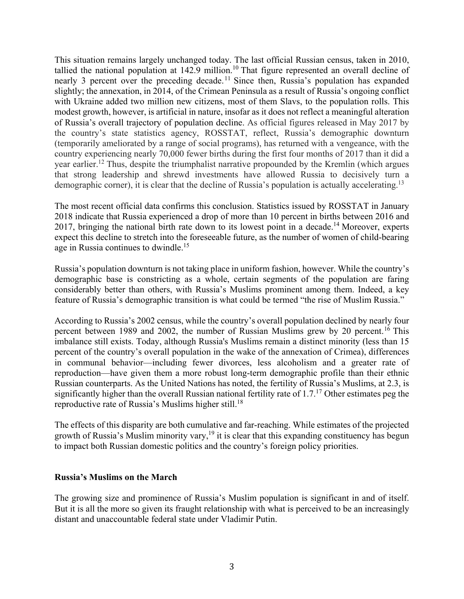This situation remains largely unchanged today. The last official Russian census, taken in 2010, tallied the national population at 142.9 million.<sup>10</sup> That figure represented an overall decline of nearly 3 percent over the preceding decade.<sup>11</sup> Since then, Russia's population has expanded slightly; the annexation, in 2014, of the Crimean Peninsula as a result of Russia's ongoing conflict with Ukraine added two million new citizens, most of them Slavs, to the population rolls. This modest growth, however, is artificial in nature, insofar as it does not reflect a meaningful alteration of Russia's overall trajectory of population decline. As official figures released in May 2017 by the country's state statistics agency, ROSSTAT, reflect, Russia's demographic downturn (temporarily ameliorated by a range of social programs), has returned with a vengeance, with the country experiencing nearly 70,000 fewer births during the first four months of 2017 than it did a year earlier.<sup>12</sup> Thus, despite the triumphalist narrative propounded by the Kremlin (which argues that strong leadership and shrewd investments have allowed Russia to decisively turn a demographic corner), it is clear that the decline of Russia's population is actually accelerating.<sup>13</sup>

The most recent official data confirms this conclusion. Statistics issued by ROSSTAT in January 2018 indicate that Russia experienced a drop of more than 10 percent in births between 2016 and 2017, bringing the national birth rate down to its lowest point in a decade.<sup>14</sup> Moreover, experts expect this decline to stretch into the foreseeable future, as the number of women of child-bearing age in Russia continues to dwindle.<sup>15</sup>

Russia's population downturn is not taking place in uniform fashion, however. While the country's demographic base is constricting as a whole, certain segments of the population are faring considerably better than others, with Russia's Muslims prominent among them. Indeed, a key feature of Russia's demographic transition is what could be termed "the rise of Muslim Russia."

According to Russia's 2002 census, while the country's overall population declined by nearly four percent between 1989 and 2002, the number of Russian Muslims grew by 20 percent.<sup>16</sup> This imbalance still exists. Today, although Russia's Muslims remain a distinct minority (less than 15 percent of the country's overall population in the wake of the annexation of Crimea), differences in communal behavior—including fewer divorces, less alcoholism and a greater rate of reproduction—have given them a more robust long-term demographic profile than their ethnic Russian counterparts. As the United Nations has noted, the fertility of Russia's Muslims, at 2.3, is significantly higher than the overall Russian national fertility rate of 1.7.<sup>17</sup> Other estimates peg the reproductive rate of Russia's Muslims higher still.<sup>18</sup>

The effects of this disparity are both cumulative and far-reaching. While estimates of the projected growth of Russia's Muslim minority vary,<sup>19</sup> it is clear that this expanding constituency has begun to impact both Russian domestic politics and the country's foreign policy priorities.

#### **Russia's Muslims on the March**

The growing size and prominence of Russia's Muslim population is significant in and of itself. But it is all the more so given its fraught relationship with what is perceived to be an increasingly distant and unaccountable federal state under Vladimir Putin.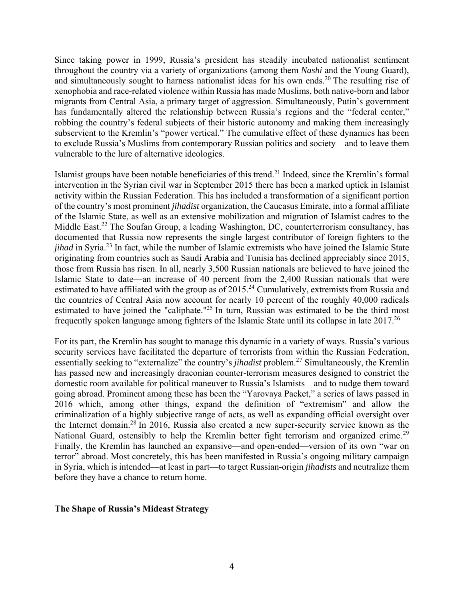Since taking power in 1999, Russia's president has steadily incubated nationalist sentiment throughout the country via a variety of organizations (among them *Nashi* and the Young Guard), and simultaneously sought to harness nationalist ideas for his own ends.<sup>20</sup> The resulting rise of xenophobia and race-related violence within Russia has made Muslims, both native-born and labor migrants from Central Asia, a primary target of aggression. Simultaneously, Putin's government has fundamentally altered the relationship between Russia's regions and the "federal center," robbing the country's federal subjects of their historic autonomy and making them increasingly subservient to the Kremlin's "power vertical." The cumulative effect of these dynamics has been to exclude Russia's Muslims from contemporary Russian politics and society—and to leave them vulnerable to the lure of alternative ideologies.

Islamist groups have been notable beneficiaries of this trend.21 Indeed, since the Kremlin's formal intervention in the Syrian civil war in September 2015 there has been a marked uptick in Islamist activity within the Russian Federation. This has included a transformation of a significant portion of the country's most prominent *jihadist* organization, the Caucasus Emirate, into a formal affiliate of the Islamic State, as well as an extensive mobilization and migration of Islamist cadres to the Middle East.<sup>22</sup> The Soufan Group, a leading Washington, DC, counterterrorism consultancy, has documented that Russia now represents the single largest contributor of foreign fighters to the *jihad* in Syria.<sup>23</sup> In fact, while the number of Islamic extremists who have joined the Islamic State originating from countries such as Saudi Arabia and Tunisia has declined appreciably since 2015, those from Russia has risen. In all, nearly 3,500 Russian nationals are believed to have joined the Islamic State to date—an increase of 40 percent from the 2,400 Russian nationals that were estimated to have affiliated with the group as of  $2015<sup>24</sup>$  Cumulatively, extremists from Russia and the countries of Central Asia now account for nearly 10 percent of the roughly 40,000 radicals estimated to have joined the "caliphate."<sup>25</sup> In turn, Russian was estimated to be the third most frequently spoken language among fighters of the Islamic State until its collapse in late 2017.26

For its part, the Kremlin has sought to manage this dynamic in a variety of ways. Russia's various security services have facilitated the departure of terrorists from within the Russian Federation, essentially seeking to "externalize" the country's *jihadist* problem.27 Simultaneously, the Kremlin has passed new and increasingly draconian counter-terrorism measures designed to constrict the domestic room available for political maneuver to Russia's Islamists—and to nudge them toward going abroad. Prominent among these has been the "Yarovaya Packet," a series of laws passed in 2016 which, among other things, expand the definition of "extremism" and allow the criminalization of a highly subjective range of acts, as well as expanding official oversight over the Internet domain.28 In 2016, Russia also created a new super-security service known as the National Guard, ostensibly to help the Kremlin better fight terrorism and organized crime.<sup>29</sup> Finally, the Kremlin has launched an expansive—and open-ended—version of its own "war on terror" abroad. Most concretely, this has been manifested in Russia's ongoing military campaign in Syria, which is intended—at least in part—to target Russian-origin *jihadists* and neutralize them before they have a chance to return home.

#### **The Shape of Russia's Mideast Strategy**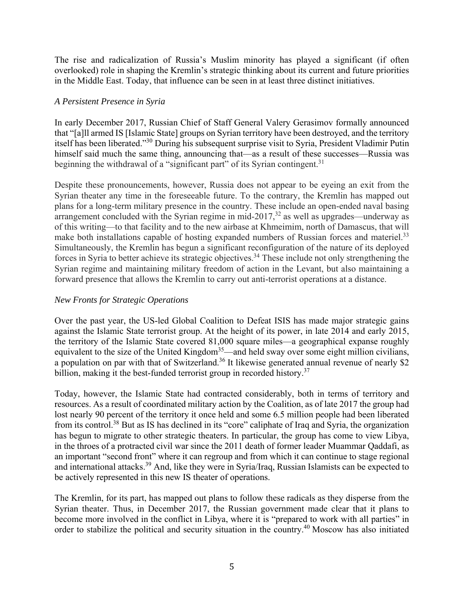The rise and radicalization of Russia's Muslim minority has played a significant (if often overlooked) role in shaping the Kremlin's strategic thinking about its current and future priorities in the Middle East. Today, that influence can be seen in at least three distinct initiatives.

## *A Persistent Presence in Syria*

In early December 2017, Russian Chief of Staff General Valery Gerasimov formally announced that "[a]ll armed IS [Islamic State] groups on Syrian territory have been destroyed, and the territory itself has been liberated."30 During his subsequent surprise visit to Syria, President Vladimir Putin himself said much the same thing, announcing that—as a result of these successes—Russia was beginning the withdrawal of a "significant part" of its Syrian contingent.<sup>31</sup>

Despite these pronouncements, however, Russia does not appear to be eyeing an exit from the Syrian theater any time in the foreseeable future. To the contrary, the Kremlin has mapped out plans for a long-term military presence in the country. These include an open-ended naval basing arrangement concluded with the Syrian regime in mid-2017, $32$  as well as upgrades—underway as of this writing—to that facility and to the new airbase at Khmeimim, north of Damascus, that will make both installations capable of hosting expanded numbers of Russian forces and materiel.<sup>33</sup> Simultaneously, the Kremlin has begun a significant reconfiguration of the nature of its deployed forces in Syria to better achieve its strategic objectives.<sup>34</sup> These include not only strengthening the Syrian regime and maintaining military freedom of action in the Levant, but also maintaining a forward presence that allows the Kremlin to carry out anti-terrorist operations at a distance.

## *New Fronts for Strategic Operations*

Over the past year, the US-led Global Coalition to Defeat ISIS has made major strategic gains against the Islamic State terrorist group. At the height of its power, in late 2014 and early 2015, the territory of the Islamic State covered 81,000 square miles—a geographical expanse roughly equivalent to the size of the United Kingdom<sup>35</sup>—and held sway over some eight million civilians, a population on par with that of Switzerland.<sup>36</sup> It likewise generated annual revenue of nearly \$2 billion, making it the best-funded terrorist group in recorded history.<sup>37</sup>

Today, however, the Islamic State had contracted considerably, both in terms of territory and resources. As a result of coordinated military action by the Coalition, as of late 2017 the group had lost nearly 90 percent of the territory it once held and some 6.5 million people had been liberated from its control.38 But as IS has declined in its "core" caliphate of Iraq and Syria, the organization has begun to migrate to other strategic theaters. In particular, the group has come to view Libya, in the throes of a protracted civil war since the 2011 death of former leader Muammar Qaddafi, as an important "second front" where it can regroup and from which it can continue to stage regional and international attacks.39 And, like they were in Syria/Iraq, Russian Islamists can be expected to be actively represented in this new IS theater of operations.

The Kremlin, for its part, has mapped out plans to follow these radicals as they disperse from the Syrian theater. Thus, in December 2017, the Russian government made clear that it plans to become more involved in the conflict in Libya, where it is "prepared to work with all parties" in order to stabilize the political and security situation in the country.40 Moscow has also initiated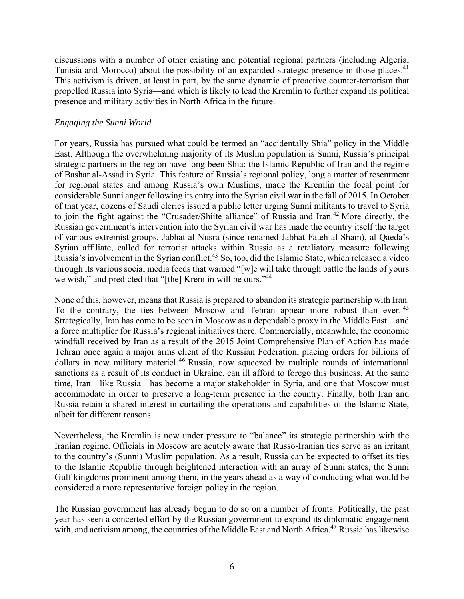discussions with a number of other existing and potential regional partners (including Algeria, Tunisia and Morocco) about the possibility of an expanded strategic presence in those places.<sup>41</sup> This activism is driven, at least in part, by the same dynamic of proactive counter-terrorism that propelled Russia into Syria—and which is likely to lead the Kremlin to further expand its political presence and military activities in North Africa in the future.

#### *Engaging the Sunni World*

For years, Russia has pursued what could be termed an "accidentally Shia" policy in the Middle East. Although the overwhelming majority of its Muslim population is Sunni, Russia's principal strategic partners in the region have long been Shia: the Islamic Republic of Iran and the regime of Bashar al-Assad in Syria. This feature of Russia's regional policy, long a matter of resentment for regional states and among Russia's own Muslims, made the Kremlin the focal point for considerable Sunni anger following its entry into the Syrian civil war in the fall of 2015. In October of that year, dozens of Saudi clerics issued a public letter urging Sunni militants to travel to Syria to join the fight against the "Crusader/Shiite alliance" of Russia and Iran.<sup>42</sup> More directly, the Russian government's intervention into the Syrian civil war has made the country itself the target of various extremist groups. Jabhat al-Nusra (since renamed Jabhat Fateh al-Sham), al-Qaeda's Syrian affiliate, called for terrorist attacks within Russia as a retaliatory measure following Russia's involvement in the Syrian conflict.<sup>43</sup> So, too, did the Islamic State, which released a video through its various social media feeds that warned "[w]e will take through battle the lands of yours we wish," and predicted that "[the] Kremlin will be ours."<sup>44</sup>

None of this, however, means that Russia is prepared to abandon its strategic partnership with Iran. To the contrary, the ties between Moscow and Tehran appear more robust than ever.<sup>45</sup> Strategically, Iran has come to be seen in Moscow as a dependable proxy in the Middle East—and a force multiplier for Russia's regional initiatives there. Commercially, meanwhile, the economic windfall received by Iran as a result of the 2015 Joint Comprehensive Plan of Action has made Tehran once again a major arms client of the Russian Federation, placing orders for billions of dollars in new military materiel.<sup>46</sup> Russia, now squeezed by multiple rounds of international sanctions as a result of its conduct in Ukraine, can ill afford to forego this business. At the same time, Iran—like Russia—has become a major stakeholder in Syria, and one that Moscow must accommodate in order to preserve a long-term presence in the country. Finally, both Iran and Russia retain a shared interest in curtailing the operations and capabilities of the Islamic State, albeit for different reasons.

Nevertheless, the Kremlin is now under pressure to "balance" its strategic partnership with the Iranian regime. Officials in Moscow are acutely aware that Russo-Iranian ties serve as an irritant to the country's (Sunni) Muslim population. As a result, Russia can be expected to offset its ties to the Islamic Republic through heightened interaction with an array of Sunni states, the Sunni Gulf kingdoms prominent among them, in the years ahead as a way of conducting what would be considered a more representative foreign policy in the region.

The Russian government has already begun to do so on a number of fronts. Politically, the past year has seen a concerted effort by the Russian government to expand its diplomatic engagement with, and activism among, the countries of the Middle East and North Africa.<sup>47</sup> Russia has likewise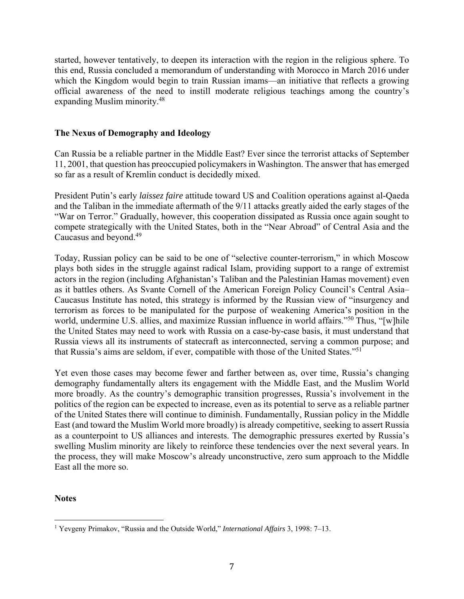started, however tentatively, to deepen its interaction with the region in the religious sphere. To this end, Russia concluded a memorandum of understanding with Morocco in March 2016 under which the Kingdom would begin to train Russian imams—an initiative that reflects a growing official awareness of the need to instill moderate religious teachings among the country's expanding Muslim minority.48

## **The Nexus of Demography and Ideology**

Can Russia be a reliable partner in the Middle East? Ever since the terrorist attacks of September 11, 2001, that question has preoccupied policymakers in Washington. The answer that has emerged so far as a result of Kremlin conduct is decidedly mixed.

President Putin's early *laissez faire* attitude toward US and Coalition operations against al-Qaeda and the Taliban in the immediate aftermath of the 9/11 attacks greatly aided the early stages of the "War on Terror." Gradually, however, this cooperation dissipated as Russia once again sought to compete strategically with the United States, both in the "Near Abroad" of Central Asia and the Caucasus and beyond.49

Today, Russian policy can be said to be one of "selective counter-terrorism," in which Moscow plays both sides in the struggle against radical Islam, providing support to a range of extremist actors in the region (including Afghanistan's Taliban and the Palestinian Hamas movement) even as it battles others. As Svante Cornell of the American Foreign Policy Council's Central Asia– Caucasus Institute has noted, this strategy is informed by the Russian view of "insurgency and terrorism as forces to be manipulated for the purpose of weakening America's position in the world, undermine U.S. allies, and maximize Russian influence in world affairs."<sup>50</sup> Thus, "[w]hile the United States may need to work with Russia on a case-by-case basis, it must understand that Russia views all its instruments of statecraft as interconnected, serving a common purpose; and that Russia's aims are seldom, if ever, compatible with those of the United States."51

Yet even those cases may become fewer and farther between as, over time, Russia's changing demography fundamentally alters its engagement with the Middle East, and the Muslim World more broadly. As the country's demographic transition progresses, Russia's involvement in the politics of the region can be expected to increase, even as its potential to serve as a reliable partner of the United States there will continue to diminish. Fundamentally, Russian policy in the Middle East (and toward the Muslim World more broadly) is already competitive, seeking to assert Russia as a counterpoint to US alliances and interests. The demographic pressures exerted by Russia's swelling Muslim minority are likely to reinforce these tendencies over the next several years. In the process, they will make Moscow's already unconstructive, zero sum approach to the Middle East all the more so.

**Notes** 

<sup>1</sup> Yevgeny Primakov, "Russia and the Outside World," *International Affairs* 3, 1998: 7–13.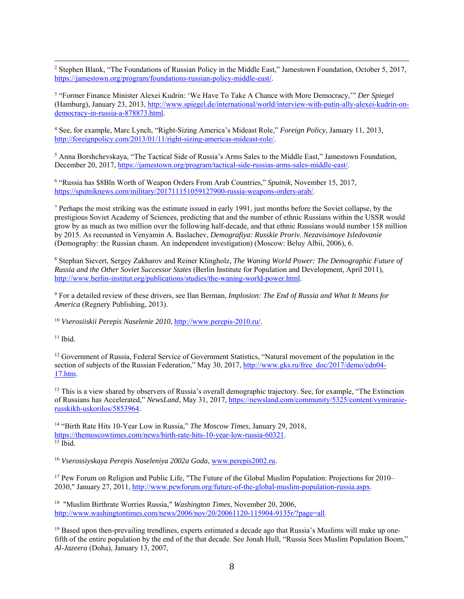<u> 1989 - Andrea San Andrea San Andrea San Andrea San Andrea San Andrea San Andrea San Andrea San Andrea San An</u> <sup>2</sup> Stephen Blank, "The Foundations of Russian Policy in the Middle East," Jamestown Foundation, October 5, 2017, https://jamestown.org/program/foundations-russian-policy-middle-east/.

3 "Former Finance Minister Alexei Kudrin: 'We Have To Take A Chance with More Democracy,'" *Der Spiegel*  (Hamburg), January 23, 2013, http://www.spiegel.de/international/world/interview-with-putin-ally-alexei-kudrin-ondemocracy-in-russia-a-878873.html.

4 See, for example, Marc Lynch, "Right-Sizing America's Mideast Role," *Foreign Policy*, January 11, 2013, http://foreignpolicy.com/2013/01/11/right-sizing-americas-mideast-role/.

<sup>5</sup> Anna Borshchevskaya, "The Tactical Side of Russia's Arms Sales to the Middle East," Jamestown Foundation, December 20, 2017, https://jamestown.org/program/tactical-side-russias-arms-sales-middle-east/.

6 "Russia has \$8Bln Worth of Weapon Orders From Arab Countries," *Sputnik*, November 15, 2017, https://sputniknews.com/military/201711151059127900-russia-weapons-orders-arab/.

<sup>7</sup> Perhaps the most striking was the estimate issued in early 1991, just months before the Soviet collapse, by the prestigious Soviet Academy of Sciences, predicting that and the number of ethnic Russians within the USSR would grow by as much as two million over the following half-decade, and that ethnic Russians would number 158 million by 2015. As recounted in Venyamin A. Baslachev, *Demografiya: Russkie Proriv. Nezavisimoye Isledovanie* (Demography: the Russian chasm. An independent investigation) (Moscow: Beluy Albii, 2006), 6.

8 Stephan Sievert, Sergey Zakharov and Reiner Klingholz, *The Waning World Power: The Demographic Future of Russia and the Other Soviet Successor States* (Berlin Institute for Population and Development, April 2011), http://www.berlin-institut.org/publications/studies/the-waning-world-power.html.

9 For a detailed review of these drivers, see Ilan Berman, *Implosion: The End of Russia and What It Means for America* (Regnery Publishing, 2013).

<sup>10</sup> *Vserosiiskii Perepis Naselenie 2010*, http://www.perepis-2010.ru/.

 $11$  Ibid.

<sup>12</sup> Government of Russia, Federal Service of Government Statistics, "Natural movement of the population in the section of subjects of the Russian Federation," May 30, 2017, http://www.gks.ru/free\_doc/2017/demo/edn04-17.htm.

<sup>13</sup> This is a view shared by observers of Russia's overall demographic trajectory. See, for example, "The Extinction" of Russians has Accelerated," *NewsLand*, May 31, 2017, https://newsland.com/community/5325/content/vymiranierusskikh-uskorilos/5853964.

14 "Birth Rate Hits 10-Year Low in Russia," *The Moscow Times*, January 29, 2018, https://themoscowtimes.com/news/birth-rate-hits-10-year-low-russia-60321.

<sup>16</sup> *Vserossiyskaya Perepis Naseleniya 2002a Goda*, www.perepis2002.ru.

<sup>17</sup> Pew Forum on Religion and Public Life, "The Future of the Global Muslim Population: Projections for 2010– 2030," January 27, 2011, http://www.pewforum.org/future-of-the-global-muslim-population-russia.aspx.

18 "Muslim Birthrate Worries Russia," *Washington Times*, November 20, 2006, http://www.washingtontimes.com/news/2006/nov/20/20061120-115904-9135r/?page=all.

<sup>19</sup> Based upon then-prevailing trendlines, experts estimated a decade ago that Russia's Muslims will make up onefifth of the entire population by the end of the that decade. See Jonah Hull, "Russia Sees Muslim Population Boom," *Al-Jazeera* (Doha), January 13, 2007,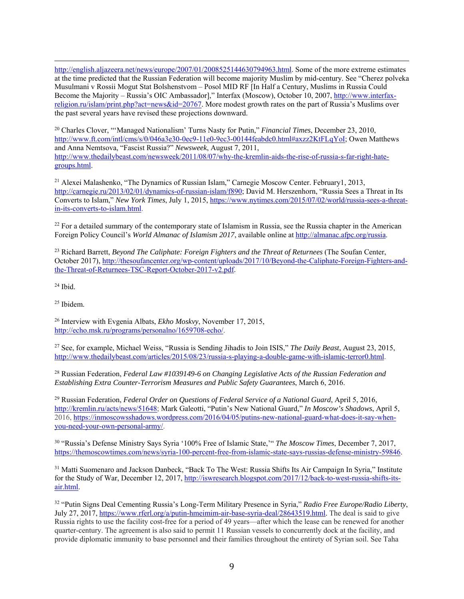<u> 1989 - Andrea San Andrea San Andrea San Andrea San Andrea San Andrea San Andrea San Andrea San Andrea San An</u> http://english.aljazeera.net/news/europe/2007/01/2008525144630794963.html. Some of the more extreme estimates at the time predicted that the Russian Federation will become majority Muslim by mid-century. See "Cherez polveka Musulmani v Rossii Mogut Stat Bolshenstvom – Posol MID RF [In Half a Century, Muslims in Russia Could Become the Majority – Russia's OIC Ambassador]," Interfax (Moscow), October 10, 2007, http://www.interfaxreligion.ru/islam/print.php?act=news&id=20767. More modest growth rates on the part of Russia's Muslims over the past several years have revised these projections downward.

20 Charles Clover, "'Managed Nationalism' Turns Nasty for Putin," *Financial Times*, December 23, 2010, http://www.ft.com/intl/cms/s/0/046a3e30-0ec9-11e0-9ec3-00144feabdc0.html#axzz2KtFLqYoI; Owen Matthews and Anna Nemtsova, "Fascist Russia?" *Newsweek*, August 7, 2011, http://www.thedailybeast.com/newsweek/2011/08/07/why-the-kremlin-aids-the-rise-of-russia-s-far-right-hategroups.html.

21 Alexei Malashenko, "The Dynamics of Russian Islam," Carnegie Moscow Center. February1, 2013, http://carnegie.ru/2013/02/01/dynamics-of-russian-islam/f890; David M. Herszenhorn, "Russia Sees a Threat in Its Converts to Islam," *New York Times*, July 1, 2015, https://www.nytimes.com/2015/07/02/world/russia-sees-a-threatin-its-converts-to-islam.html.

 $^{22}$  For a detailed summary of the contemporary state of Islamism in Russia, see the Russia chapter in the American Foreign Policy Council's *World Almanac of Islamism 2017*, available online at http://almanac.afpc.org/russia.

23 Richard Barrett, *Beyond The Caliphate: Foreign Fighters and the Threat of Returnees* (The Soufan Center, October 2017), http://thesoufancenter.org/wp-content/uploads/2017/10/Beyond-the-Caliphate-Foreign-Fighters-andthe-Threat-of-Returnees-TSC-Report-October-2017-v2.pdf.

 $24$  Ibid.

25 Ibidem.

26 Interview with Evgenia Albats, *Ekho Moskvy*, November 17, 2015, http://echo.msk.ru/programs/personalno/1659708-echo/.

27 See, for example, Michael Weiss, "Russia is Sending Jihadis to Join ISIS," *The Daily Beast*, August 23, 2015, http://www.thedailybeast.com/articles/2015/08/23/russia-s-playing-a-double-game-with-islamic-terror0.html.

28 Russian Federation, *Federal Law #1039149-6 on Changing Legislative Acts of the Russian Federation and Establishing Extra Counter-Terrorism Measures and Public Safety Guarantees*, March 6, 2016.

29 Russian Federation, *Federal Order on Questions of Federal Service of a National Guard*, April 5, 2016, http://kremlin.ru/acts/news/51648; Mark Galeotti, "Putin's New National Guard," *In Moscow's Shadows*, April 5, 2016, https://inmoscowsshadows.wordpress.com/2016/04/05/putins-new-national-guard-what-does-it-say-whenyou-need-your-own-personal-army/.

30 "Russia's Defense Ministry Says Syria '100% Free of Islamic State,'" *The Moscow Times*, December 7, 2017, https://themoscowtimes.com/news/syria-100-percent-free-from-islamic-state-says-russias-defense-ministry-59846.

31 Matti Suomenaro and Jackson Danbeck, "Back To The West: Russia Shifts Its Air Campaign In Syria," Institute for the Study of War, December 12, 2017, http://iswresearch.blogspot.com/2017/12/back-to-west-russia-shifts-itsair.html.

32 "Putin Signs Deal Cementing Russia's Long-Term Military Presence in Syria," *Radio Free Europe/Radio Liberty*, July 27, 2017, https://www.rferl.org/a/putin-hmeimim-air-base-syria-deal/28643519.html. The deal is said to give Russia rights to use the facility cost-free for a period of 49 years—after which the lease can be renewed for another quarter-century. The agreement is also said to permit 11 Russian vessels to concurrently dock at the facility, and provide diplomatic immunity to base personnel and their families throughout the entirety of Syrian soil. See Taha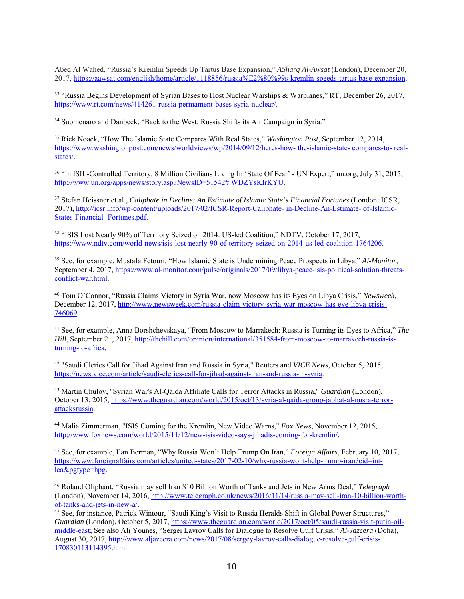<u> 1989 - Andrea San Andrea San Andrea San Andrea San Andrea San Andrea San Andrea San Andrea San Andrea San An</u> Abed Al Wahed, "Russia's Kremlin Speeds Up Tartus Base Expansion," *ASharq Al-Awsat* (London), December 20, 2017, https://aawsat.com/english/home/article/1118856/russia%E2%80%99s-kremlin-speeds-tartus-base-expansion.

<sup>33</sup> "Russia Begins Development of Syrian Bases to Host Nuclear Warships & Warplanes," RT, December 26, 2017, https://www.rt.com/news/414261-russia-permament-bases-syria-nuclear/.

<sup>34</sup> Suomenaro and Danbeck, "Back to the West: Russia Shifts its Air Campaign in Syria."

35 Rick Noack, "How The Islamic State Compares With Real States," *Washington Post*, September 12, 2014, https://www.washingtonpost.com/news/worldviews/wp/2014/09/12/heres-how- the-islamic-state- compares-to- realstates/.

36 "In ISIL-Controlled Territory, 8 Million Civilians Living In 'State Of Fear' - UN Expert," un.org, July 31, 2015, http://www.un.org/apps/news/story.asp?NewsID=51542#.WDZYsKIrKYU.

37 Stefan Heissner et al., *Caliphate in Decline: An Estimate of Islamic State's Financial Fortunes* (London: ICSR, 2017), http://icsr.info/wp-content/uploads/2017/02/ICSR-Report-Caliphate- in-Decline-An-Estimate- of-Islamic-States-Financial- Fortunes.pdf.

38 "ISIS Lost Nearly 90% of Territory Seized on 2014: US-led Coalition," NDTV, October 17, 2017, https://www.ndtv.com/world-news/isis-lost-nearly-90-of-territory-seized-on-2014-us-led-coalition-1764206.

39 See, for example, Mustafa Fetouri, "How Islamic State is Undermining Peace Prospects in Libya," *Al-Monitor*, September 4, 2017, https://www.al-monitor.com/pulse/originals/2017/09/libya-peace-isis-political-solution-threatsconflict-war.html.

40 Tom O'Connor, "Russia Claims Victory in Syria War, now Moscow has its Eyes on Libya Crisis," *Newsweek*, December 12, 2017, http://www.newsweek.com/russia-claim-victory-syria-war-moscow-has-eye-libya-crisis-746069.

41 See, for example, Anna Borshchevskaya, "From Moscow to Marrakech: Russia is Turning its Eyes to Africa," *The Hill*, September 21, 2017, http://thehill.com/opinion/international/351584-from-moscow-to-marrakech-russia-isturning-to-africa.

42 "Saudi Clerics Call for Jihad Against Iran and Russia in Syria," Reuters and *VICE News*, October 5, 2015, https://news.vice.com/article/saudi-clerics-call-for-jihad-against-iran-and-russia-in-syria.

43 Martin Chulov, "Syrian War's Al-Qaida Affiliate Calls for Terror Attacks in Russia," *Guardian* (London), October 13, 2015, https://www.theguardian.com/world/2015/oct/13/syria-al-qaida-group-jabhat-al-nusra-terrorattacksrussia.

44 Malia Zimmerman, "ISIS Coming for the Kremlin, New Video Warns," *Fox News*, November 12, 2015, http://www.foxnews.com/world/2015/11/12/new-isis-video-says-jihadis-coming-for-kremlin/.

45 See, for example, Ilan Berman, "Why Russia Won't Help Trump On Iran," *Foreign Affairs*, February 10, 2017, https://www.foreignaffairs.com/articles/united-states/2017-02-10/why-russia-wont-help-trump-iran?cid=intlea&pgtype=hpg.

46 Roland Oliphant, "Russia may sell Iran \$10 Billion Worth of Tanks and Jets in New Arms Deal," *Telegraph* (London), November 14, 2016, http://www.telegraph.co.uk/news/2016/11/14/russia-may-sell-iran-10-billion-worthof-tanks-and-jets-in-new-a/. 47 See, for instance, Patrick Wintour, "Saudi King's Visit to Russia Heralds Shift in Global Power Structures,"

*Guardian* (London), October 5, 2017, https://www.theguardian.com/world/2017/oct/05/saudi-russia-visit-putin-oilmiddle-east; See also Ali Younes, "Sergei Lavrov Calls for Dialogue to Resolve Gulf Crisis," *Al-Jazeera* (Doha), August 30, 2017, http://www.aljazeera.com/news/2017/08/sergey-lavrov-calls-dialogue-resolve-gulf-crisis-170830113114395.html.